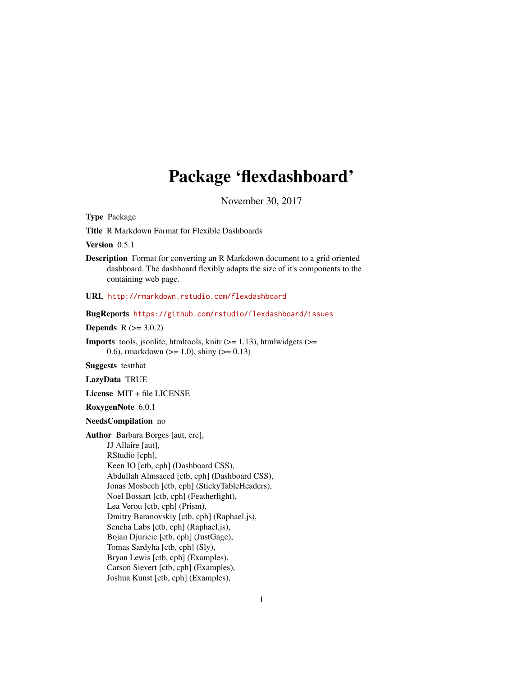# Package 'flexdashboard'

November 30, 2017

<span id="page-0-0"></span>Type Package

Title R Markdown Format for Flexible Dashboards

Version 0.5.1

Description Format for converting an R Markdown document to a grid oriented dashboard. The dashboard flexibly adapts the size of it's components to the containing web page.

URL <http://rmarkdown.rstudio.com/flexdashboard>

BugReports <https://github.com/rstudio/flexdashboard/issues>

**Depends**  $R (= 3.0.2)$ 

**Imports** tools, jsonlite, htmltools, knitr  $(>= 1.13)$ , htmlwidgets  $(>=$ 0.6), rmarkdown ( $>= 1.0$ ), shiny ( $>= 0.13$ )

Suggests testthat

LazyData TRUE

License MIT + file LICENSE

RoxygenNote 6.0.1

NeedsCompilation no

Author Barbara Borges [aut, cre], JJ Allaire [aut], RStudio [cph], Keen IO [ctb, cph] (Dashboard CSS), Abdullah Almsaeed [ctb, cph] (Dashboard CSS), Jonas Mosbech [ctb, cph] (StickyTableHeaders), Noel Bossart [ctb, cph] (Featherlight), Lea Verou [ctb, cph] (Prism), Dmitry Baranovskiy [ctb, cph] (Raphael.js), Sencha Labs [ctb, cph] (Raphael.js), Bojan Djuricic [ctb, cph] (JustGage), Tomas Sardyha [ctb, cph] (Sly), Bryan Lewis [ctb, cph] (Examples), Carson Sievert [ctb, cph] (Examples), Joshua Kunst [ctb, cph] (Examples),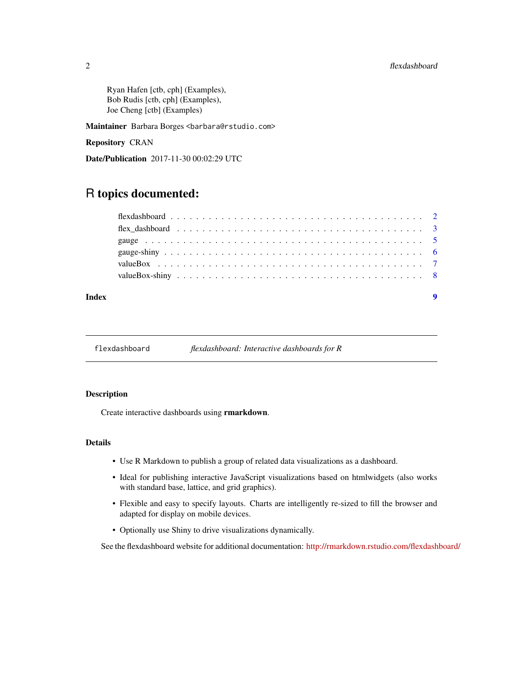<span id="page-1-0"></span>Ryan Hafen [ctb, cph] (Examples), Bob Rudis [ctb, cph] (Examples), Joe Cheng [ctb] (Examples)

Maintainer Barbara Borges <br/>barbara@rstudio.com>

Repository CRAN

Date/Publication 2017-11-30 00:02:29 UTC

## R topics documented:

flexdashboard *flexdashboard: Interactive dashboards for R*

#### Description

Create interactive dashboards using rmarkdown.

#### Details

- Use R Markdown to publish a group of related data visualizations as a dashboard.
- Ideal for publishing interactive JavaScript visualizations based on htmlwidgets (also works with standard base, lattice, and grid graphics).
- Flexible and easy to specify layouts. Charts are intelligently re-sized to fill the browser and adapted for display on mobile devices.
- Optionally use Shiny to drive visualizations dynamically.

See the flexdashboard website for additional documentation: <http://rmarkdown.rstudio.com/flexdashboard/>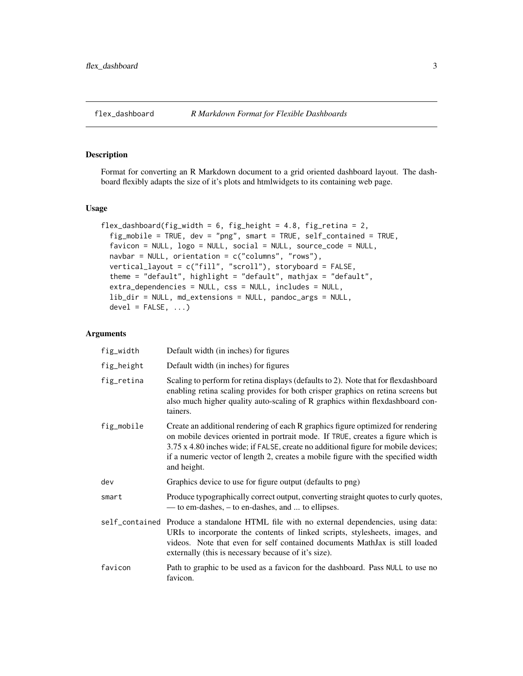### <span id="page-2-0"></span>Description

Format for converting an R Markdown document to a grid oriented dashboard layout. The dashboard flexibly adapts the size of it's plots and htmlwidgets to its containing web page.

#### Usage

```
flex_dashboard(fig_width = 6, fig_height = 4.8, fig_retina = 2,
  fig_mobile = TRUE, dev = "png", smart = TRUE, self_contained = TRUE,
 favicon = NULL, logo = NULL, social = NULL, source_code = NULL,
 navbar = NULL, orientation = c("columns", "rows"),
 vertical_layout = c("fill", "scroll"), storyboard = FALSE,
  theme = "default", highlight = "default", mathjax = "default",
  extra_dependencies = NULL, css = NULL, includes = NULL,
  lib_dir = NULL, md_extensions = NULL, pandoc_args = NULL,
 devel = FALSE, ...
```
#### Arguments

| fig_width  | Default width (in inches) for figures                                                                                                                                                                                                                                                                                                                         |
|------------|---------------------------------------------------------------------------------------------------------------------------------------------------------------------------------------------------------------------------------------------------------------------------------------------------------------------------------------------------------------|
| fig_height | Default width (in inches) for figures                                                                                                                                                                                                                                                                                                                         |
| fig_retina | Scaling to perform for retina displays (defaults to 2). Note that for flexdashboard<br>enabling retina scaling provides for both crisper graphics on retina screens but<br>also much higher quality auto-scaling of R graphics within flexdashboard con-<br>tainers.                                                                                          |
| fig_mobile | Create an additional rendering of each R graphics figure optimized for rendering<br>on mobile devices oriented in portrait mode. If TRUE, creates a figure which is<br>3.75 x 4.80 inches wide; if FALSE, create no additional figure for mobile devices;<br>if a numeric vector of length 2, creates a mobile figure with the specified width<br>and height. |
| dev        | Graphics device to use for figure output (defaults to png)                                                                                                                                                                                                                                                                                                    |
| smart      | Produce typographically correct output, converting straight quotes to curly quotes,<br>— to em-dashes, – to en-dashes, and  to ellipses.                                                                                                                                                                                                                      |
|            | self_contained Produce a standalone HTML file with no external dependencies, using data:<br>URIs to incorporate the contents of linked scripts, stylesheets, images, and<br>videos. Note that even for self contained documents MathJax is still loaded<br>externally (this is necessary because of it's size).                                               |
| favicon    | Path to graphic to be used as a favicon for the dashboard. Pass NULL to use no<br>favicon.                                                                                                                                                                                                                                                                    |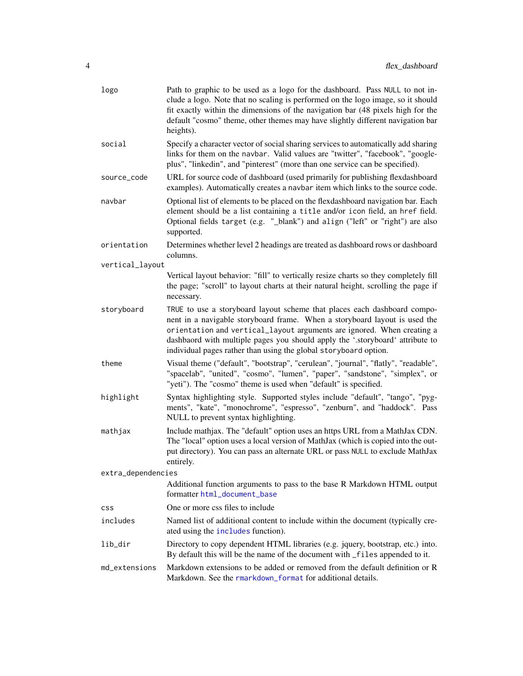<span id="page-3-0"></span>

| logo               | Path to graphic to be used as a logo for the dashboard. Pass NULL to not in-<br>clude a logo. Note that no scaling is performed on the logo image, so it should<br>fit exactly within the dimensions of the navigation bar (48 pixels high for the<br>default "cosmo" theme, other themes may have slightly different navigation bar<br>heights).                                     |
|--------------------|---------------------------------------------------------------------------------------------------------------------------------------------------------------------------------------------------------------------------------------------------------------------------------------------------------------------------------------------------------------------------------------|
| social             | Specify a character vector of social sharing services to automatically add sharing<br>links for them on the navbar. Valid values are "twitter", "facebook", "google-<br>plus", "linkedin", and "pinterest" (more than one service can be specified).                                                                                                                                  |
| source_code        | URL for source code of dashboard (used primarily for publishing flexdashboard<br>examples). Automatically creates a navbar item which links to the source code.                                                                                                                                                                                                                       |
| navbar             | Optional list of elements to be placed on the flexdashboard navigation bar. Each<br>element should be a list containing a title and/or icon field, an href field.<br>Optional fields target (e.g. "_blank") and align ("left" or "right") are also<br>supported.                                                                                                                      |
| orientation        | Determines whether level 2 headings are treated as dashboard rows or dashboard<br>columns.                                                                                                                                                                                                                                                                                            |
| vertical_layout    |                                                                                                                                                                                                                                                                                                                                                                                       |
|                    | Vertical layout behavior: "fill" to vertically resize charts so they completely fill<br>the page; "scroll" to layout charts at their natural height, scrolling the page if<br>necessary.                                                                                                                                                                                              |
| storyboard         | TRUE to use a storyboard layout scheme that places each dashboard compo-<br>nent in a navigable storyboard frame. When a storyboard layout is used the<br>orientation and vertical_layout arguments are ignored. When creating a<br>dashbaord with multiple pages you should apply the '.storyboard' attribute to<br>individual pages rather than using the global storyboard option. |
| theme              | Visual theme ("default", "bootstrap", "cerulean", "journal", "flatly", "readable",<br>"spacelab", "united", "cosmo", "lumen", "paper", "sandstone", "simplex", or<br>"yeti"). The "cosmo" theme is used when "default" is specified.                                                                                                                                                  |
| highlight          | Syntax highlighting style. Supported styles include "default", "tango", "pyg-<br>ments", "kate", "monochrome", "espresso", "zenburn", and "haddock". Pass<br>NULL to prevent syntax highlighting.                                                                                                                                                                                     |
| mathjax            | Include mathjax. The "default" option uses an https URL from a MathJax CDN.<br>The "local" option uses a local version of MathJax (which is copied into the out-<br>put directory). You can pass an alternate URL or pass NULL to exclude MathJax<br>entirely.                                                                                                                        |
| extra_dependencies |                                                                                                                                                                                                                                                                                                                                                                                       |
|                    | Additional function arguments to pass to the base R Markdown HTML output<br>formatter html_document_base                                                                                                                                                                                                                                                                              |
| css                | One or more css files to include                                                                                                                                                                                                                                                                                                                                                      |
| includes           | Named list of additional content to include within the document (typically cre-<br>ated using the includes function).                                                                                                                                                                                                                                                                 |
| lib_dir            | Directory to copy dependent HTML libraries (e.g. jquery, bootstrap, etc.) into.<br>By default this will be the name of the document with _files appended to it.                                                                                                                                                                                                                       |
| md_extensions      | Markdown extensions to be added or removed from the default definition or R<br>Markdown. See the rmarkdown_format for additional details.                                                                                                                                                                                                                                             |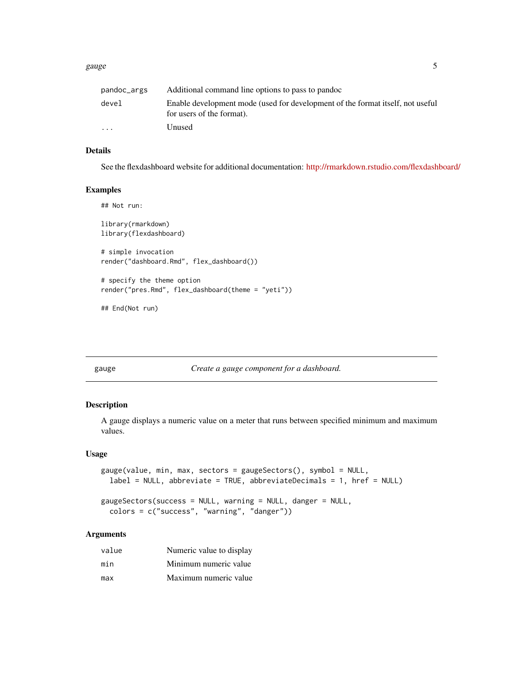#### <span id="page-4-0"></span>gauge 5 and 5 and 5 and 5 and 5 and 5 and 5 and 5 and 5 and 5 and 5 and 5 and 5 and 5 and 5 and 5 and 5 and 5 and 5 and 5 and 5 and 5 and 5 and 5 and 5 and 5 and 5 and 5 and 5 and 5 and 5 and 5 and 5 and 5 and 5 and 5 and

| pandoc_args             | Additional command line options to pass to pandoc                                                           |
|-------------------------|-------------------------------------------------------------------------------------------------------------|
| devel                   | Enable development mode (used for development of the format itself, not useful<br>for users of the format). |
| $\cdot$ $\cdot$ $\cdot$ | Unused                                                                                                      |

#### Details

See the flexdashboard website for additional documentation: <http://rmarkdown.rstudio.com/flexdashboard/>

#### Examples

```
## Not run:
library(rmarkdown)
library(flexdashboard)
# simple invocation
render("dashboard.Rmd", flex_dashboard())
# specify the theme option
render("pres.Rmd", flex_dashboard(theme = "yeti"))
```
## End(Not run)

gauge *Create a gauge component for a dashboard.*

#### Description

A gauge displays a numeric value on a meter that runs between specified minimum and maximum values.

#### Usage

```
gauge(value, min, max, sectors = gaugeSectors(), symbol = NULL,
  label = NULL, abbreviate = TRUE, abbreviateDecimals = 1, href = NULL)
gaugeSectors(success = NULL, warning = NULL, danger = NULL,
  colors = c("success", "warning", "danger"))
```
#### Arguments

| value | Numeric value to display |
|-------|--------------------------|
| min   | Minimum numeric value    |
| max   | Maximum numeric value    |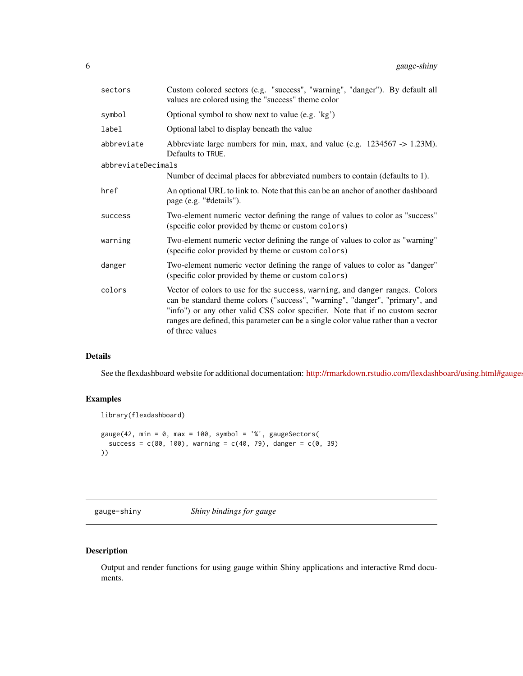<span id="page-5-0"></span>

| sectors            | Custom colored sectors (e.g. "success", "warning", "danger"). By default all<br>values are colored using the "success" theme color                                                                                                                                                                                                                     |
|--------------------|--------------------------------------------------------------------------------------------------------------------------------------------------------------------------------------------------------------------------------------------------------------------------------------------------------------------------------------------------------|
| symbol             | Optional symbol to show next to value (e.g. 'kg')                                                                                                                                                                                                                                                                                                      |
| label              | Optional label to display beneath the value                                                                                                                                                                                                                                                                                                            |
| abbreviate         | Abbreviate large numbers for min, max, and value (e.g. 1234567 -> 1.23M).<br>Defaults to TRUE.                                                                                                                                                                                                                                                         |
| abbreviateDecimals |                                                                                                                                                                                                                                                                                                                                                        |
|                    | Number of decimal places for abbreviated numbers to contain (defaults to 1).                                                                                                                                                                                                                                                                           |
| href               | An optional URL to link to. Note that this can be an anchor of another dashboard<br>page (e.g. "#details").                                                                                                                                                                                                                                            |
| success            | Two-element numeric vector defining the range of values to color as "success"<br>(specific color provided by theme or custom colors)                                                                                                                                                                                                                   |
| warning            | Two-element numeric vector defining the range of values to color as "warning"<br>(specific color provided by theme or custom colors)                                                                                                                                                                                                                   |
| danger             | Two-element numeric vector defining the range of values to color as "danger"<br>(specific color provided by theme or custom colors)                                                                                                                                                                                                                    |
| colors             | Vector of colors to use for the success, warning, and danger ranges. Colors<br>can be standard theme colors ("success", "warning", "danger", "primary", and<br>"info") or any other valid CSS color specifier. Note that if no custom sector<br>ranges are defined, this parameter can be a single color value rather than a vector<br>of three values |

#### Details

See the flexdashboard website for additional documentation: http://rmarkdown.rstudio.com/flexdashboard/using.html#gauge

### Examples

```
library(flexdashboard)
gauge(42, min = 0, max = 100, symbol = '%', gaugeSectors(
  success = c(80, 100), warning = c(40, 79), danger = c(0, 39)))
```
gauge-shiny *Shiny bindings for gauge*

### Description

Output and render functions for using gauge within Shiny applications and interactive Rmd documents.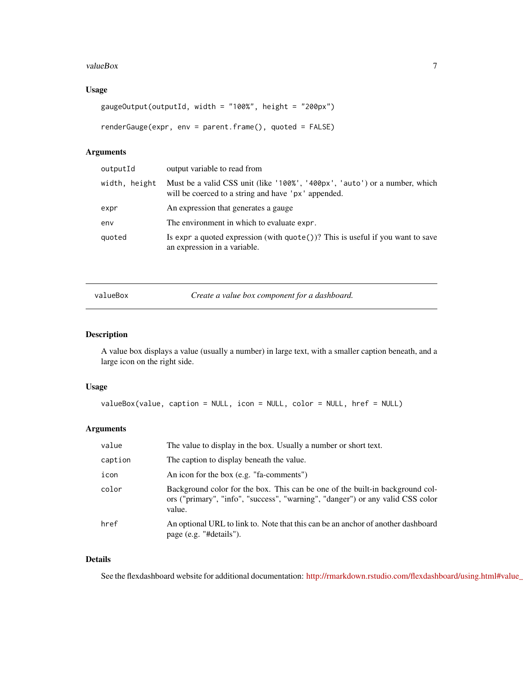#### <span id="page-6-0"></span>valueBox 7

#### Usage

```
gaugeOutput(outputId, width = "100%", height = "200px")
renderGauge(expr, env = parent.frame(), quoted = FALSE)
```
#### Arguments

| outputId      | output variable to read from                                                                                                      |
|---------------|-----------------------------------------------------------------------------------------------------------------------------------|
| width, height | Must be a valid CSS unit (like '100%', '400px', 'auto') or a number, which<br>will be coerced to a string and have 'px' appended. |
| expr          | An expression that generates a gauge                                                                                              |
| env           | The environment in which to evaluate expr.                                                                                        |
| quoted        | Is expr a quoted expression (with $\text{quote}()$ )? This is useful if you want to save<br>an expression in a variable.          |
|               |                                                                                                                                   |

valueBox *Create a value box component for a dashboard.*

#### Description

A value box displays a value (usually a number) in large text, with a smaller caption beneath, and a large icon on the right side.

#### Usage

```
valueBox(value, caption = NULL, icon = NULL, color = NULL, href = NULL)
```
#### Arguments

| value   | The value to display in the box. Usually a number or short text.                                                                                                          |
|---------|---------------------------------------------------------------------------------------------------------------------------------------------------------------------------|
| caption | The caption to display beneath the value.                                                                                                                                 |
| icon    | An icon for the box (e.g. "fa-comments")                                                                                                                                  |
| color   | Background color for the box. This can be one of the built-in background col-<br>ors ("primary", "info", "success", "warning", "danger") or any valid CSS color<br>value. |
| href    | An optional URL to link to. Note that this can be an anchor of another dashboard<br>page (e.g. "#details").                                                               |

#### Details

See the flexdashboard website for additional documentation: http://rmarkdown.rstudio.com/flexdashboard/using.html#value\_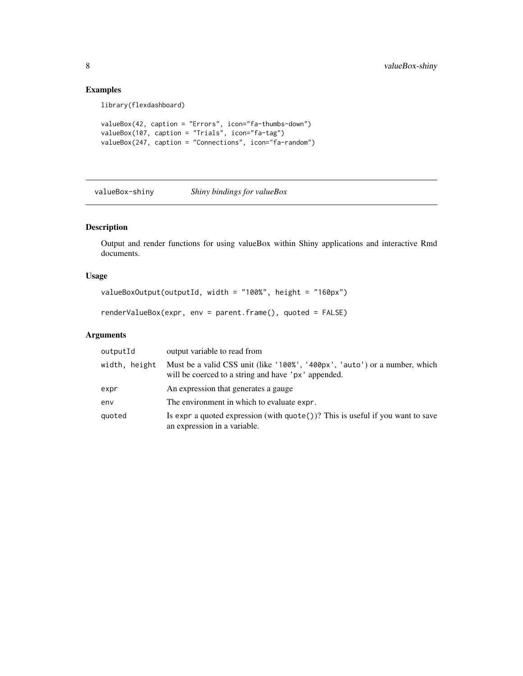### <span id="page-7-0"></span>Examples

library(flexdashboard)

```
valueBox(42, caption = "Errors", icon="fa-thumbs-down")
valueBox(107, caption = "Trials", icon="fa-tag")
valueBox(247, caption = "Connections", icon="fa-random")
```
valueBox-shiny *Shiny bindings for valueBox*

#### Description

Output and render functions for using valueBox within Shiny applications and interactive Rmd documents.

#### Usage

```
valueBoxOutput(outputId, width = "100%", height = "160px")
```
renderValueBox(expr, env = parent.frame(), quoted = FALSE)

#### Arguments

| outputId      | output variable to read from                                                                                                      |
|---------------|-----------------------------------------------------------------------------------------------------------------------------------|
| width, height | Must be a valid CSS unit (like '100%', '400px', 'auto') or a number, which<br>will be coerced to a string and have 'px' appended. |
| expr          | An expression that generates a gauge                                                                                              |
| env           | The environment in which to evaluate expr.                                                                                        |
| quoted        | Is expr a quoted expression (with $\text{quote}()$ )? This is useful if you want to save<br>an expression in a variable.          |